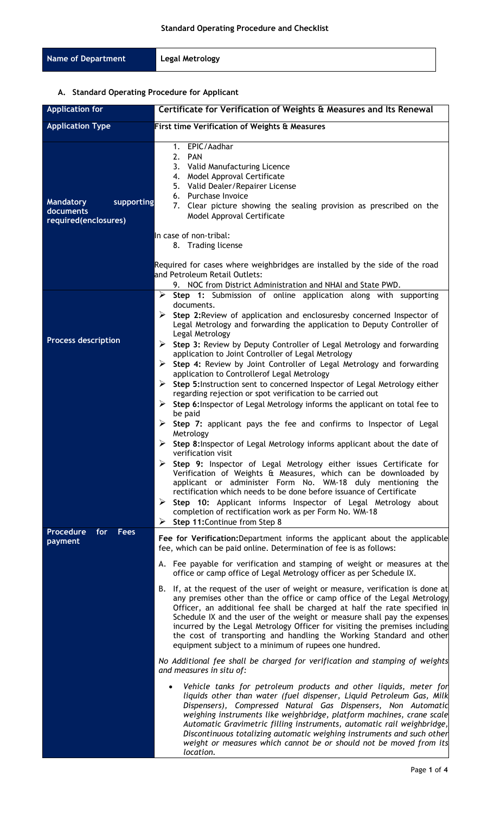| Name of Department<br>Legal Metrology |  |
|---------------------------------------|--|
|---------------------------------------|--|

# **A. Standard Operating Procedure for Applicant**

| <b>Application for</b>                                              | Certificate for Verification of Weights & Measures and Its Renewal                                                                                                                                                                                                                                                                                                                                                                                                                                                                                                                                                                                       |
|---------------------------------------------------------------------|----------------------------------------------------------------------------------------------------------------------------------------------------------------------------------------------------------------------------------------------------------------------------------------------------------------------------------------------------------------------------------------------------------------------------------------------------------------------------------------------------------------------------------------------------------------------------------------------------------------------------------------------------------|
| <b>Application Type</b>                                             | First time Verification of Weights & Measures                                                                                                                                                                                                                                                                                                                                                                                                                                                                                                                                                                                                            |
| supporting<br><b>Mandatory</b><br>documents<br>required(enclosures) | 1. EPIC/Aadhar<br>2.<br><b>PAN</b><br>3. Valid Manufacturing Licence<br>4. Model Approval Certificate<br>5. Valid Dealer/Repairer License<br>6. Purchase Invoice<br>7. Clear picture showing the sealing provision as prescribed on the<br>Model Approval Certificate                                                                                                                                                                                                                                                                                                                                                                                    |
|                                                                     | In case of non-tribal:<br>8. Trading license                                                                                                                                                                                                                                                                                                                                                                                                                                                                                                                                                                                                             |
|                                                                     | Required for cases where weighbridges are installed by the side of the road<br>and Petroleum Retail Outlets:<br>9. NOC from District Administration and NHAI and State PWD.                                                                                                                                                                                                                                                                                                                                                                                                                                                                              |
|                                                                     | $\triangleright$ Step 1: Submission of online application along with supporting                                                                                                                                                                                                                                                                                                                                                                                                                                                                                                                                                                          |
|                                                                     | documents.<br>Step 2: Review of application and enclosuresby concerned Inspector of<br>➤<br>Legal Metrology and forwarding the application to Deputy Controller of<br>Legal Metrology                                                                                                                                                                                                                                                                                                                                                                                                                                                                    |
| <b>Process description</b>                                          | Step 3: Review by Deputy Controller of Legal Metrology and forwarding<br>➤<br>application to Joint Controller of Legal Metrology<br>$\triangleright$ Step 4: Review by Joint Controller of Legal Metrology and forwarding<br>application to Controllerof Legal Metrology<br>Step 5: Instruction sent to concerned Inspector of Legal Metrology either<br>➤<br>regarding rejection or spot verification to be carried out<br>Step 6: Inspector of Legal Metrology informs the applicant on total fee to<br>➤                                                                                                                                              |
|                                                                     | be paid<br>➤<br>Step 7: applicant pays the fee and confirms to Inspector of Legal<br>Metrology<br>Step 8: Inspector of Legal Metrology informs applicant about the date of<br>➤<br>verification visit<br>Step 9: Inspector of Legal Metrology either issues Certificate for<br>Verification of Weights & Measures, which can be downloaded by<br>applicant or administer Form No. WM-18 duly mentioning the<br>rectification which needs to be done before issuance of Certificate<br>➤<br>Step 10: Applicant informs Inspector of Legal Metrology about<br>completion of rectification work as per Form No. WM-18<br>Step 11: Continue from Step 8<br>➤ |
| <b>Procedure</b><br>for<br><b>Fees</b><br>payment                   | Fee for Verification: Department informs the applicant about the applicable<br>fee, which can be paid online. Determination of fee is as follows:                                                                                                                                                                                                                                                                                                                                                                                                                                                                                                        |
|                                                                     | A. Fee payable for verification and stamping of weight or measures at the<br>office or camp office of Legal Metrology officer as per Schedule IX.                                                                                                                                                                                                                                                                                                                                                                                                                                                                                                        |
|                                                                     | If, at the request of the user of weight or measure, verification is done at<br>В.<br>any premises other than the office or camp office of the Legal Metrology<br>Officer, an additional fee shall be charged at half the rate specified in<br>Schedule IX and the user of the weight or measure shall pay the expenses<br>incurred by the Legal Metrology Officer for visiting the premises including<br>the cost of transporting and handling the Working Standard and other<br>equipment subject to a minimum of rupees one hundred.                                                                                                                  |
|                                                                     | No Additional fee shall be charged for verification and stamping of weights<br>and measures in situ of:                                                                                                                                                                                                                                                                                                                                                                                                                                                                                                                                                  |
|                                                                     | Vehicle tanks for petroleum products and other liquids, meter for<br>$\bullet$<br>liquids other than water (fuel dispenser, Liquid Petroleum Gas, Milk<br>Dispensers), Compressed Natural Gas Dispensers, Non Automatic<br>weighing instruments like weighbridge, platform machines, crane scale<br>Automatic Gravimetric filling instruments, automatic rail weighbridge,<br>Discontinuous totalizing automatic weighing instruments and such other<br>weight or measures which cannot be or should not be moved from its<br>location.                                                                                                                  |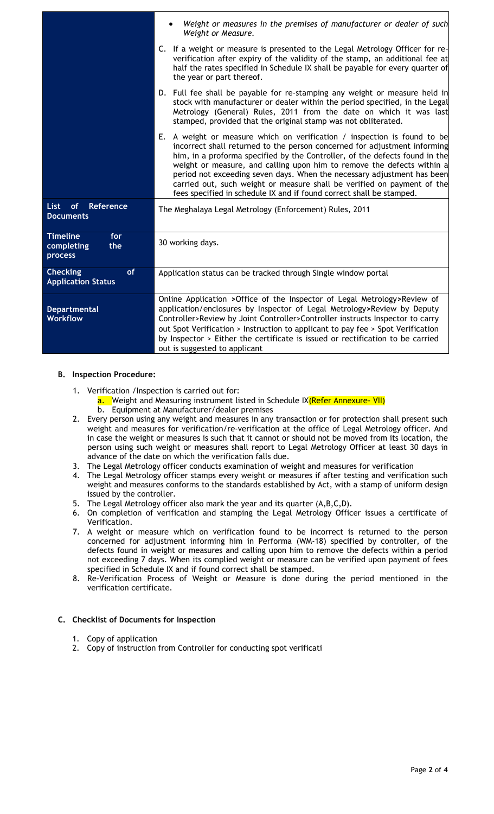|                                                           | Weight or measures in the premises of manufacturer or dealer of such<br>Weight or Measure.                                                                                                                                                                                                                                                                                                                                                                                                                                                   |
|-----------------------------------------------------------|----------------------------------------------------------------------------------------------------------------------------------------------------------------------------------------------------------------------------------------------------------------------------------------------------------------------------------------------------------------------------------------------------------------------------------------------------------------------------------------------------------------------------------------------|
|                                                           | C. If a weight or measure is presented to the Legal Metrology Officer for re-<br>verification after expiry of the validity of the stamp, an additional fee at<br>half the rates specified in Schedule IX shall be payable for every quarter of<br>the year or part thereof.                                                                                                                                                                                                                                                                  |
|                                                           | D. Full fee shall be payable for re-stamping any weight or measure held in<br>stock with manufacturer or dealer within the period specified, in the Legal<br>Metrology (General) Rules, 2011 from the date on which it was last<br>stamped, provided that the original stamp was not obliterated.                                                                                                                                                                                                                                            |
|                                                           | E. A weight or measure which on verification / inspection is found to be<br>incorrect shall returned to the person concerned for adjustment informing<br>him, in a proforma specified by the Controller, of the defects found in the<br>weight or measure, and calling upon him to remove the defects within a<br>period not exceeding seven days. When the necessary adjustment has been<br>carried out, such weight or measure shall be verified on payment of the<br>fees specified in schedule IX and if found correct shall be stamped. |
| of<br>Reference<br><b>List</b><br><b>Documents</b>        | The Meghalaya Legal Metrology (Enforcement) Rules, 2011                                                                                                                                                                                                                                                                                                                                                                                                                                                                                      |
| <b>Timeline</b><br>for<br>completing<br>the<br>process    | 30 working days.                                                                                                                                                                                                                                                                                                                                                                                                                                                                                                                             |
| <b>Checking</b><br><b>of</b><br><b>Application Status</b> | Application status can be tracked through Single window portal                                                                                                                                                                                                                                                                                                                                                                                                                                                                               |
| <b>Departmental</b><br><b>Workflow</b>                    | Online Application > Office of the Inspector of Legal Metrology> Review of<br>application/enclosures by Inspector of Legal Metrology>Review by Deputy<br>Controller>Review by Joint Controller>Controller instructs Inspector to carry<br>out Spot Verification > Instruction to applicant to pay fee > Spot Verification<br>by Inspector > Either the certificate is issued or rectification to be carried<br>out is suggested to applicant                                                                                                 |

#### **B. Inspection Procedure:**

- 1. Verification /Inspection is carried out for:
	- a. Weight and Measuring instrument listed in Schedule IX(Refer Annexure- VII)
	- b. Equipment at Manufacturer/dealer premises
- 2. Every person using any weight and measures in any transaction or for protection shall present such weight and measures for verification/re-verification at the office of Legal Metrology officer. And in case the weight or measures is such that it cannot or should not be moved from its location, the person using such weight or measures shall report to Legal Metrology Officer at least 30 days in advance of the date on which the verification falls due.
- 3. The Legal Metrology officer conducts examination of weight and measures for verification
- 4. The Legal Metrology officer stamps every weight or measures if after testing and verification such weight and measures conforms to the standards established by Act, with a stamp of uniform design issued by the controller.
- 5. The Legal Metrology officer also mark the year and its quarter (A,B,C,D).
- 6. On completion of verification and stamping the Legal Metrology Officer issues a certificate of Verification.
- 7. A weight or measure which on verification found to be incorrect is returned to the person concerned for adjustment informing him in Performa (WM-18) specified by controller, of the defects found in weight or measures and calling upon him to remove the defects within a period not exceeding 7 days. When its complied weight or measure can be verified upon payment of fees specified in Schedule IX and if found correct shall be stamped.
- 8. Re-Verification Process of Weight or Measure is done during the period mentioned in the verification certificate.

#### **C. Checklist of Documents for Inspection**

- 1. Copy of application
- 2. Copy of instruction from Controller for conducting spot verificati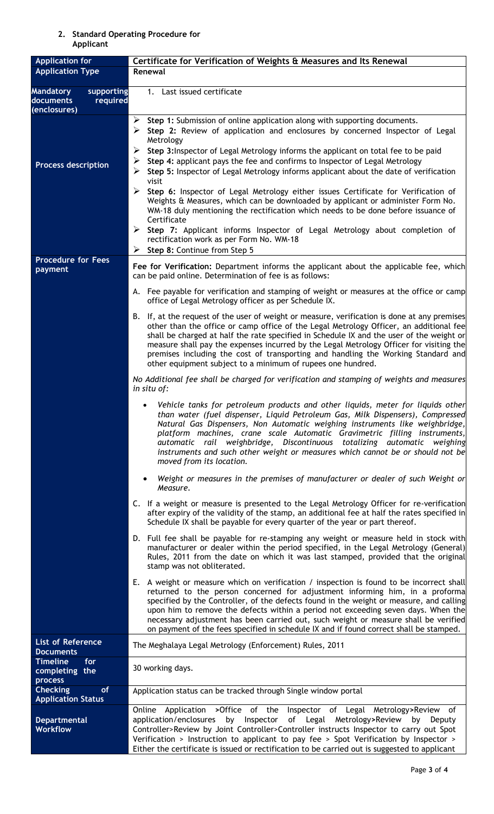## **2. Standard Operating Procedure for Applicant**

| <b>Application for</b><br><b>Application Type</b>                       | Certificate for Verification of Weights & Measures and Its Renewal                                                                                                                                                                                                                                                                                                                                                                                                                                                                        |
|-------------------------------------------------------------------------|-------------------------------------------------------------------------------------------------------------------------------------------------------------------------------------------------------------------------------------------------------------------------------------------------------------------------------------------------------------------------------------------------------------------------------------------------------------------------------------------------------------------------------------------|
|                                                                         | Renewal                                                                                                                                                                                                                                                                                                                                                                                                                                                                                                                                   |
| <b>Mandatory</b><br>supporting<br>documents<br>required<br>(enclosures) | Last issued certificate<br>1.                                                                                                                                                                                                                                                                                                                                                                                                                                                                                                             |
|                                                                         | ➤<br>Step 1: Submission of online application along with supporting documents.<br>Step 2: Review of application and enclosures by concerned Inspector of Legal<br>➤<br>Metrology<br>➤<br>Step 3: Inspector of Legal Metrology informs the applicant on total fee to be paid                                                                                                                                                                                                                                                               |
| <b>Process description</b>                                              | Step 4: applicant pays the fee and confirms to Inspector of Legal Metrology<br>➤<br>➤<br>Step 5: Inspector of Legal Metrology informs applicant about the date of verification<br>visit                                                                                                                                                                                                                                                                                                                                                   |
|                                                                         | Step 6: Inspector of Legal Metrology either issues Certificate for Verification of<br>Weights & Measures, which can be downloaded by applicant or administer Form No.<br>WM-18 duly mentioning the rectification which needs to be done before issuance of<br>Certificate                                                                                                                                                                                                                                                                 |
|                                                                         | ➤<br>Step 7: Applicant informs Inspector of Legal Metrology about completion of<br>rectification work as per Form No. WM-18<br>Step 8: Continue from Step 5<br>➤                                                                                                                                                                                                                                                                                                                                                                          |
| <b>Procedure for Fees</b><br>payment                                    | Fee for Verification: Department informs the applicant about the applicable fee, which<br>can be paid online. Determination of fee is as follows:                                                                                                                                                                                                                                                                                                                                                                                         |
|                                                                         | A. Fee payable for verification and stamping of weight or measures at the office or camp<br>office of Legal Metrology officer as per Schedule IX.                                                                                                                                                                                                                                                                                                                                                                                         |
|                                                                         | B. If, at the request of the user of weight or measure, verification is done at any premises<br>other than the office or camp office of the Legal Metrology Officer, an additional fee<br>shall be charged at half the rate specified in Schedule IX and the user of the weight or<br>measure shall pay the expenses incurred by the Legal Metrology Officer for visiting the<br>premises including the cost of transporting and handling the Working Standard and<br>other equipment subject to a minimum of rupees one hundred.         |
|                                                                         | No Additional fee shall be charged for verification and stamping of weights and measures<br>in situ of:                                                                                                                                                                                                                                                                                                                                                                                                                                   |
|                                                                         | Vehicle tanks for petroleum products and other liquids, meter for liquids other<br>than water (fuel dispenser, Liquid Petroleum Gas, Milk Dispensers), Compressed<br>Natural Gas Dispensers, Non Automatic weighing instruments like weighbridge,<br>platform machines, crane scale Automatic Gravimetric filling instruments,<br>automatic rail weighbridge, Discontinuous totalizing automatic weighing<br>instruments and such other weight or measures which cannot be or should not be<br>moved from its location.                   |
|                                                                         | Weight or measures in the premises of manufacturer or dealer of such Weight or<br>Measure.                                                                                                                                                                                                                                                                                                                                                                                                                                                |
|                                                                         | C. If a weight or measure is presented to the Legal Metrology Officer for re-verification<br>after expiry of the validity of the stamp, an additional fee at half the rates specified in<br>Schedule IX shall be payable for every quarter of the year or part thereof.                                                                                                                                                                                                                                                                   |
|                                                                         | D. Full fee shall be payable for re-stamping any weight or measure held in stock with<br>manufacturer or dealer within the period specified, in the Legal Metrology (General)<br>Rules, 2011 from the date on which it was last stamped, provided that the original<br>stamp was not obliterated.                                                                                                                                                                                                                                         |
|                                                                         | E. A weight or measure which on verification / inspection is found to be incorrect shall<br>returned to the person concerned for adjustment informing him, in a proforma<br>specified by the Controller, of the defects found in the weight or measure, and calling<br>upon him to remove the defects within a period not exceeding seven days. When the<br>necessary adjustment has been carried out, such weight or measure shall be verified<br>on payment of the fees specified in schedule IX and if found correct shall be stamped. |
| List of Reference                                                       | The Meghalaya Legal Metrology (Enforcement) Rules, 2011                                                                                                                                                                                                                                                                                                                                                                                                                                                                                   |
| <b>Documents</b><br><b>Timeline</b><br>for<br>completing the<br>process | 30 working days.                                                                                                                                                                                                                                                                                                                                                                                                                                                                                                                          |
| <b>Checking</b><br>of<br><b>Application Status</b>                      | Application status can be tracked through Single window portal                                                                                                                                                                                                                                                                                                                                                                                                                                                                            |
| <b>Departmental</b><br><b>Workflow</b>                                  | Online Application >Office of the Inspector of Legal Metrology>Review of<br>application/enclosures by Inspector of Legal Metrology>Review by Deputy<br>Controller>Review by Joint Controller>Controller instructs Inspector to carry out Spot<br>Verification > Instruction to applicant to pay fee > Spot Verification by Inspector ><br>Either the certificate is issued or rectification to be carried out is suggested to applicant                                                                                                   |